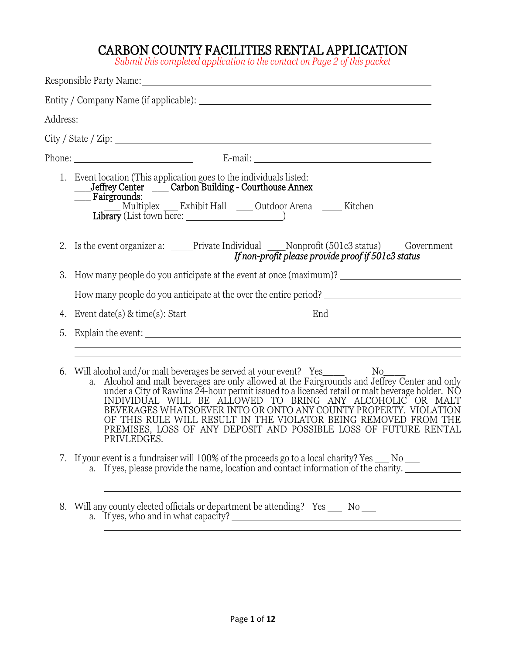## CARBON COUNTY FACILITIES RENTAL APPLICATION

*Submit this completed application to the contact on Page 2 of this packet*

|    | Responsible Party Name: Name and Second Contract of the Contract of the Contract of the Contract of the Contract of the Contract of the Contract of the Contract of the Contract of the Contract of the Contract of the Contra                                                                                                                                                                                                                                                                                              |
|----|-----------------------------------------------------------------------------------------------------------------------------------------------------------------------------------------------------------------------------------------------------------------------------------------------------------------------------------------------------------------------------------------------------------------------------------------------------------------------------------------------------------------------------|
|    |                                                                                                                                                                                                                                                                                                                                                                                                                                                                                                                             |
|    |                                                                                                                                                                                                                                                                                                                                                                                                                                                                                                                             |
|    | $City / State / Zip: \n\frac{1}{1}$                                                                                                                                                                                                                                                                                                                                                                                                                                                                                         |
|    |                                                                                                                                                                                                                                                                                                                                                                                                                                                                                                                             |
|    | 1. Event location (This application goes to the individuals listed:<br>_Jeffrey Center ____ Carbon Building - Courthouse Annex<br>___ Fairgrounds:                                                                                                                                                                                                                                                                                                                                                                          |
|    | 2. Is the event organizer a: ____Private Individual ___Nonprofit (501c3 status) ____Government<br>If non-profit please provide proof if $50Ic3$ status                                                                                                                                                                                                                                                                                                                                                                      |
|    | 3. How many people do you anticipate at the event at once (maximum)? _______________________________                                                                                                                                                                                                                                                                                                                                                                                                                        |
|    | How many people do you anticipate at the over the entire period?                                                                                                                                                                                                                                                                                                                                                                                                                                                            |
|    | 4. Event date(s) & time(s): Start $\frac{1}{2}$                                                                                                                                                                                                                                                                                                                                                                                                                                                                             |
| 5. |                                                                                                                                                                                                                                                                                                                                                                                                                                                                                                                             |
|    |                                                                                                                                                                                                                                                                                                                                                                                                                                                                                                                             |
| 6. | Will alcohol and/or malt beverages be served at your event? Yes Now Now No.<br>a. Alcohol and malt beverages are only allowed at the Fairgrounds and Jeffrey Center and only<br>under a City of Rawlins 24-hour permit issued to a l<br>INDIVIDUAL WILL BE ALLOWED TO BRING ANY ALCOHOLIC OR MALT<br>BEVERAGES WHATSOEVER INTO OR ONTO ANY COUNTY PROPERTY. VIOLATION<br>OF THIS RULE WILL RESULT IN THE VIOLATOR BEING REMOVED FROM THE<br>PREMISES, LOSS OF ANY DEPOSIT AND POSSIBLE LOSS OF FUTURE RENTAL<br>PRIVLEDGES. |
|    | 7. If your event is a fundraiser will 100% of the proceeds go to a local charity? Yes ___ No ___<br>a. If yes, please provide the name, location and contact information of the charity.                                                                                                                                                                                                                                                                                                                                    |

8. Will any county elected officials or department be attending? Yes \_\_\_\_ No a. If yes, who and in what capacity?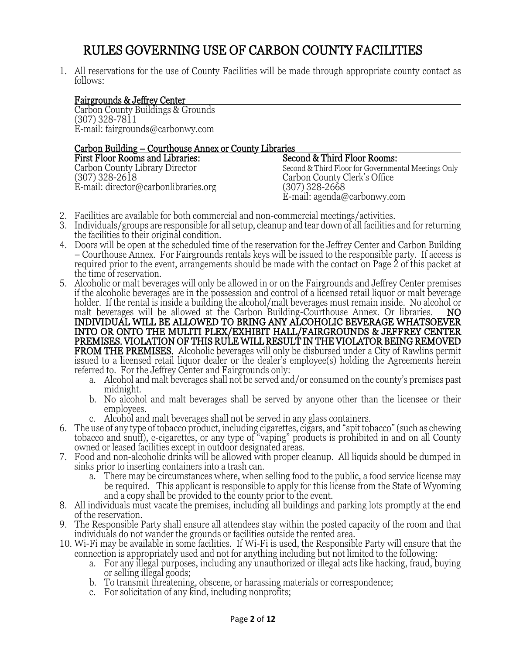## RULES GOVERNING USE OF CARBON COUNTY FACILITIES

1. All reservations for the use of County Facilities will be made through appropriate county contact as follows:

#### Fairgrounds & Jeffrey Center

Carbon County Buildings & Grounds (307) 328-7811 E-mail: fairgrounds@carbonwy.com

# Carbon Building – Courthouse Annex or County Libraries

| First Floor Rooms and Libraries:     | Second & Third Floor Rooms:                         |
|--------------------------------------|-----------------------------------------------------|
| Carbon County Library Director       | Second & Third Floor for Governmental Meetings Only |
| (307) 328-2618                       | Carbon County Clerk's Office                        |
| E-mail: director@carbonlibraries.org | $(307)$ 328-2668                                    |
|                                      | E-mail: agenda@carbonwy.com                         |

- 2. Facilities are available for both commercial and non-commercial meetings/activities.
- 3. Individuals/groups are responsible for all setup, cleanup and tear down of all facilities and for returning the facilities to their original condition.
- 4. Doors will be open at the scheduled time of the reservation for the Jeffrey Center and Carbon Building – Courthouse Annex. For Fairgrounds rentals keys will be issued to the responsible party. If access is required prior to the event, arrangements should be made with the contact on Page 2 of this packet at the time of reservation.
- 5. Alcoholic or malt beverages will only be allowed in or on the Fairgrounds and Jeffrey Center premises if the alcoholic beverages are in the possession and control of a licensed retail liquor or malt beverage holder. If the rental is inside a building the alcohol/malt beverages must remain inside. No alcohol or malt beverages will be allowed at the Carbon Building-Courthouse Annex. Or libraries.  $\overline{NO}$ malt beverages will be allowed at the Carbon Building-Courthouse Annex. Or libraries. INDIVIDUAL WILL BE ALLOWED TO BRING ANY ALCOHOLIC BEVERAGE WHATSOEVER INTO OR ONTO THE MULITI PLEX/EXHIBIT HALL/FAIRGROUNDS & JEFFREY CENTER PREMISES. VIOLATION OF THIS RULE WILL RESULT IN THE VIOLATOR BEING REMOVED **FROM THE PREMISES.** Alcoholic beverages will only be disbursed under a City of Rawlins permit issued to a licensed retail liquor dealer or the dealer's employee(s) holding the Agreements herein referred to. For the Jeffrey Center and Fairgrounds only:
	- a. Alcohol and malt beverages shall not be served and/or consumed on the county's premises past midnight.
	- b. No alcohol and malt beverages shall be served by anyone other than the licensee or their employees.
	- c. Alcohol and malt beverages shall not be served in any glass containers.
- 6. The use of any type of tobacco product, including cigarettes, cigars, and "spit tobacco" (such as chewing tobacco and snuff), e-cigarettes, or any type of "vaping" products is prohibited in and on all County owned or leased facilities except in outdoor designated areas.
- 7. Food and non-alcoholic drinks will be allowed with proper cleanup. All liquids should be dumped in sinks prior to inserting containers into a trash can.
	- a. There may be circumstances where, when selling food to the public, a food service license may be required. This applicant is responsible to apply for this license from the State of Wyoming and a copy shall be provided to the county prior to the event.
- 8. All individuals must vacate the premises, including all buildings and parking lots promptly at the end of the reservation.
- 9. The Responsible Party shall ensure all attendees stay within the posted capacity of the room and that individuals do not wander the grounds or facilities outside the rented area.
- 10. Wi-Fi may be available in some facilities. If Wi-Fi is used, the Responsible Party will ensure that the connection is appropriately used and not for anything including but not limited to the following:
	- a. For any illegal purposes, including any unauthorized or illegal acts like hacking, fraud, buying or selling illegal goods;
	- b. To transmit threatening, obscene, or harassing materials or correspondence;
	- c. For solicitation of any kind, including nonprofits;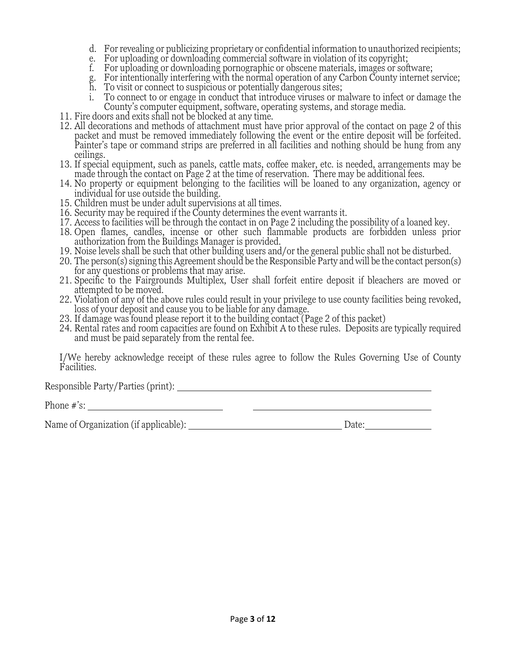- d. For revealing or publicizing proprietary or confidential information to unauthorized recipients;
- e. For uploading or downloading commercial software in violation of its copyright;
- f. For uploading or downloading pornographic or obscene materials, images or software;
- g. For intentionally interfering with the normal operation of any Carbon County internet service;
- h. To visit or connect to suspicious or potentially dangerous sites;
- i. To connect to or engage in conduct that introduce viruses or malware to infect or damage the County's computer equipment, software, operating systems, and storage media.
- 11. Fire doors and exits shall not be blocked at any time.
- 12. All decorations and methods of attachment must have prior approval of the contact on page 2 of this packet and must be removed immediately following the event or the entire deposit will be forfeited. Painter's tape or command strips are preferred in all facilities and nothing should be hung from any ceilings.
- 13. If special equipment, such as panels, cattle mats, coffee maker, etc. is needed, arrangements may be made through the contact on Page 2 at the time of reservation. There may be additional fees.
- 14. No property or equipment belonging to the facilities will be loaned to any organization, agency or individual for use outside the building.
- 15. Children must be under adult supervisions at all times.
- 16. Security may be required if the County determines the event warrants it.
- 17. Access to facilities will be through the contact in on Page 2 including the possibility of a loaned key.
- 18. Open flames, candles, incense or other such flammable products are forbidden unless prior authorization from the Buildings Manager is provided.
- 19. Noise levels shall be such that other building users and/or the general public shall not be disturbed.
- 20. The person(s) signing this Agreement should be the Responsible Party and will be the contact person(s) for any questions or problems that may arise.
- 21. Specific to the Fairgrounds Multiplex, User shall forfeit entire deposit if bleachers are moved or attempted to be moved.
- 22. Violation of any of the above rules could result in your privilege to use county facilities being revoked, loss of your deposit and cause you to be liable for any damage.
- 23. If damage was found please report it to the building contact (Page 2 of this packet)
- 24. Rental rates and room capacities are found on Exhibit A to these rules. Deposits are typically required and must be paid separately from the rental fee.

I/We hereby acknowledge receipt of these rules agree to follow the Rules Governing Use of County Facilities.

Responsible Party/Parties (print):

Phone #'s:

Name of Organization (if applicable): Date: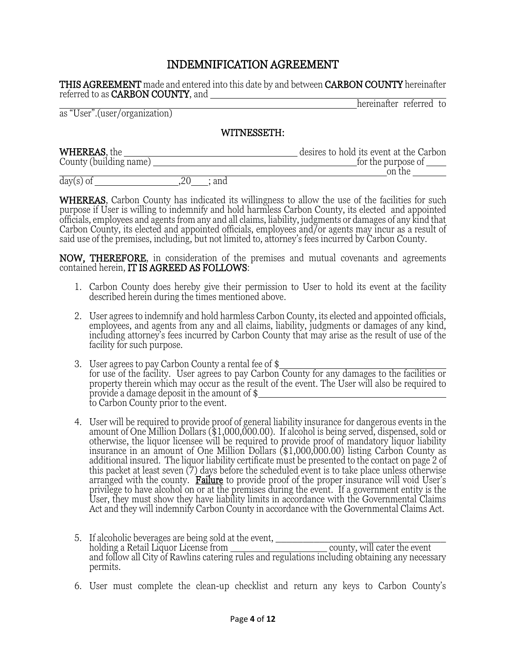### INDEMNIFICATION AGREEMENT

**THIS AGREEMENT** made and entered into this date by and between **CARBON COUNTY** hereinafter referred to as CARBON COUNTY, and

as "User".(user/organization)

hereinafter referred to

#### WITNESSETH:

| <b>WHEREAS</b> , the   | desires to hold its event at the Carbon     |
|------------------------|---------------------------------------------|
| County (building name) | for the purpose of $\overline{\phantom{a}}$ |
|                        | on the                                      |
|                        |                                             |

day(s) of  $\frac{1}{20}$  ; and

**WHEREAS**, Carbon County has indicated its willingness to allow the use of the facilities for such purpose if User is willing to indemnify and hold harmless Carbon County, its elected and appointed officials, employees and agents from any and all claims, liability, judgments or damages of any kind that Carbon County, its elected and appointed officials, employees and/or agents may incur as a result of said use of the premises, including, but not limited to, attorney's fees incurred by Carbon County.

NOW, THEREFORE, in consideration of the premises and mutual covenants and agreements contained herein, IT IS AGREED AS FOLLOWS:

- 1. Carbon County does hereby give their permission to User to hold its event at the facility described herein during the times mentioned above.
- 2. User agrees to indemnify and hold harmless Carbon County, its elected and appointed officials, employees, and agents from any and all claims, liability, judgments or damages of any kind, including attorney's fees incurred by Carbon County that may arise as the result of use of the facility for such purpose.
- 3. User agrees to pay Carbon County a rental fee of \$ for use of the facility. User agrees to pay Carbon County for any damages to the facilities or property therein which may occur as the result of the event. The User will also be required to provide a damage deposit in the amount of \$ to Carbon County prior to the event.
- 4. User will be required to provide proof of general liability insurance for dangerous events in the amount of One Million Dollars (\$1,000,000.00). If alcohol is being served, dispensed, sold or otherwise, the liquor licensee will be required to provide proof of mandatory liquor liability insurance in an amount of One Million Dollars (\$1,000,000.00) listing Carbon County as additional insured. The liquor liability certificate must be presented to the contact on page 2 of this packet at least seven (7) days before the scheduled event is to take place unless otherwise arranged with the county. **Failure** to provide proof of the proper insurance will void User's privilege to have alcohol on or at the premises during the event. If a government entity is the User, they must show they have liability limits in accordance with the Governmental Claims Act and they will indemnify Carbon County in accordance with the Governmental Claims Act.
- 5. If alcoholic beverages are being sold at the event, \_\_\_\_\_\_\_\_\_\_\_\_\_\_\_\_\_\_\_\_\_\_\_\_\_\_\_\_\_\_\_ holding a Retail Liquor License from \_\_\_\_\_\_\_\_\_\_\_\_\_\_\_\_\_\_\_\_\_\_\_\_\_\_\_\_\_ county, will cater the event and follow all City of Rawlins catering rules and regulations including obtaining any necessary permits.
- 6. User must complete the clean-up checklist and return any keys to Carbon County's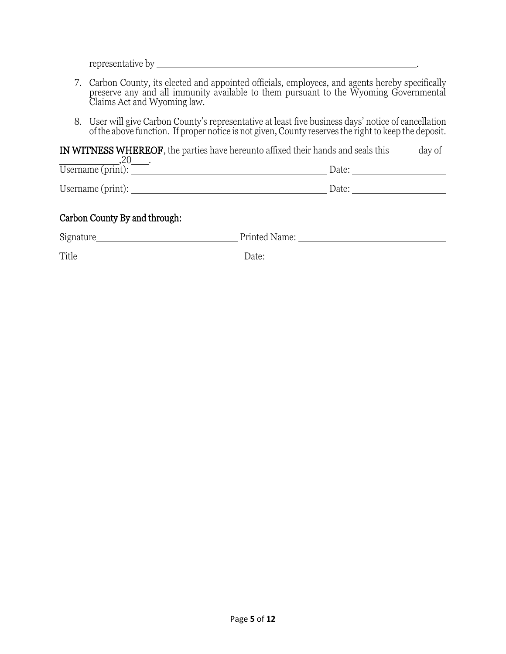representative by .

- 7. Carbon County, its elected and appointed officials, employees, and agents hereby specifically preserve any and all immunity available to them pursuant to the Wyoming Governmental Claims Act and Wyoming law.
- 8. User will give Carbon County's representative at least five business days' notice of cancellation of the above function. If proper notice is not given, County reserves the right to keep the deposit.

IN WITNESS WHEREOF, the parties have hereunto affixed their hands and seals this  $\rule{1em}{0.15mm}$  day of  $20$ 

| .c<br>Username (print): | Date:   |
|-------------------------|---------|
| Username (print):       | Date: . |

### Carbon County By and through:

| Signature | Printed Name: |
|-----------|---------------|
| Title     | Date:         |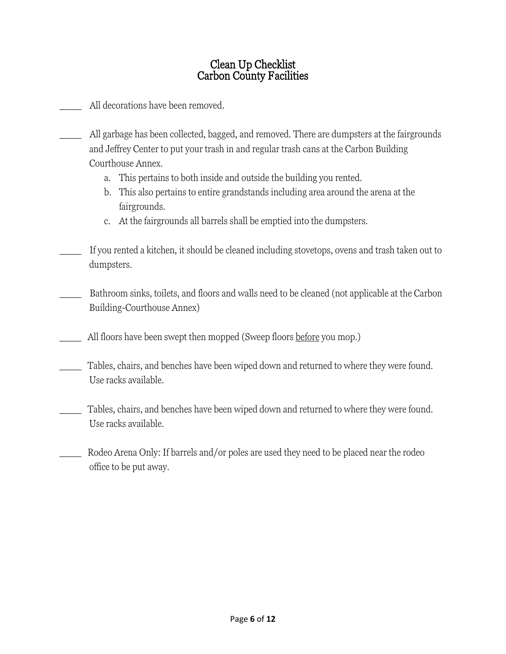### Clean Up Checklist Carbon County Facilities

All decorations have been removed.

- All garbage has been collected, bagged, and removed. There are dumpsters at the fairgrounds and Jeffrey Center to put your trash in and regular trash cans at the Carbon Building Courthouse Annex.
	- a. This pertains to both inside and outside the building you rented.
	- b. This also pertains to entire grandstands including area around the arena at the fairgrounds.
	- c. At the fairgrounds all barrels shall be emptied into the dumpsters.
- If you rented a kitchen, it should be cleaned including stovetops, ovens and trash taken out to dumpsters.
- Bathroom sinks, toilets, and floors and walls need to be cleaned (not applicable at the Carbon Building-Courthouse Annex)
	- All floors have been swept then mopped (Sweep floors before you mop.)
- Tables, chairs, and benches have been wiped down and returned to where they were found. Use racks available.
- Tables, chairs, and benches have been wiped down and returned to where they were found. Use racks available.
- Rodeo Arena Only: If barrels and/or poles are used they need to be placed near the rodeo office to be put away.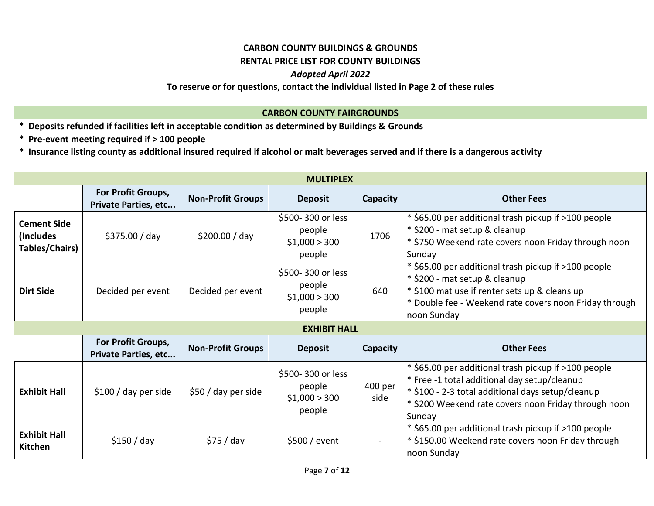#### **CARBON COUNTY BUILDINGS & GROUNDS**

#### **RENTAL PRICE LIST FOR COUNTY BUILDINGS**

#### *Adopted April 2022*

#### **To reserve or for questions, contact the individual listed in Page 2 of these rules**

#### **CARBON COUNTY FAIRGROUNDS**

- **\* Deposits refunded if facilities left in acceptable condition as determined by Buildings & Grounds**
- **\* Pre-event meeting required if > 100 people**

**\* Insurance listing county as additional insured required if alcohol or malt beverages served and if there is a dangerous activity**

| <b>MULTIPLEX</b>                                   |                                                   |                          |                                                        |                 |                                                                                                                                                                                                                             |  |  |  |  |  |
|----------------------------------------------------|---------------------------------------------------|--------------------------|--------------------------------------------------------|-----------------|-----------------------------------------------------------------------------------------------------------------------------------------------------------------------------------------------------------------------------|--|--|--|--|--|
|                                                    | For Profit Groups,<br><b>Private Parties, etc</b> | <b>Non-Profit Groups</b> | <b>Deposit</b>                                         | Capacity        | <b>Other Fees</b>                                                                                                                                                                                                           |  |  |  |  |  |
| <b>Cement Side</b><br>(Includes)<br>Tables/Chairs) | \$375.00 / day                                    | \$200.00 / day           | \$500-300 or less<br>people<br>\$1,000 > 300<br>people | 1706            | * \$65.00 per additional trash pickup if >100 people<br>* \$200 - mat setup & cleanup<br>* \$750 Weekend rate covers noon Friday through noon<br>Sunday                                                                     |  |  |  |  |  |
| <b>Dirt Side</b>                                   | Decided per event                                 | Decided per event        | \$500-300 or less<br>people<br>\$1,000 > 300<br>people | 640             | * \$65.00 per additional trash pickup if >100 people<br>* \$200 - mat setup & cleanup<br>* \$100 mat use if renter sets up & cleans up<br>* Double fee - Weekend rate covers noon Friday through<br>noon Sunday             |  |  |  |  |  |
|                                                    | <b>EXHIBIT HALL</b>                               |                          |                                                        |                 |                                                                                                                                                                                                                             |  |  |  |  |  |
|                                                    | For Profit Groups,<br><b>Private Parties, etc</b> | <b>Non-Profit Groups</b> | <b>Deposit</b>                                         | Capacity        | <b>Other Fees</b>                                                                                                                                                                                                           |  |  |  |  |  |
| <b>Exhibit Hall</b>                                | \$100 / day per side                              | \$50 / day per side      | \$500-300 or less<br>people<br>\$1,000 > 300<br>people | 400 per<br>side | * \$65.00 per additional trash pickup if >100 people<br>* Free -1 total additional day setup/cleanup<br>* \$100 - 2-3 total additional days setup/cleanup<br>* \$200 Weekend rate covers noon Friday through noon<br>Sunday |  |  |  |  |  |
| <b>Exhibit Hall</b><br>Kitchen                     | \$150 / day                                       | \$75 / day               | \$500 / event                                          |                 | * \$65.00 per additional trash pickup if >100 people<br>* \$150.00 Weekend rate covers noon Friday through<br>noon Sunday                                                                                                   |  |  |  |  |  |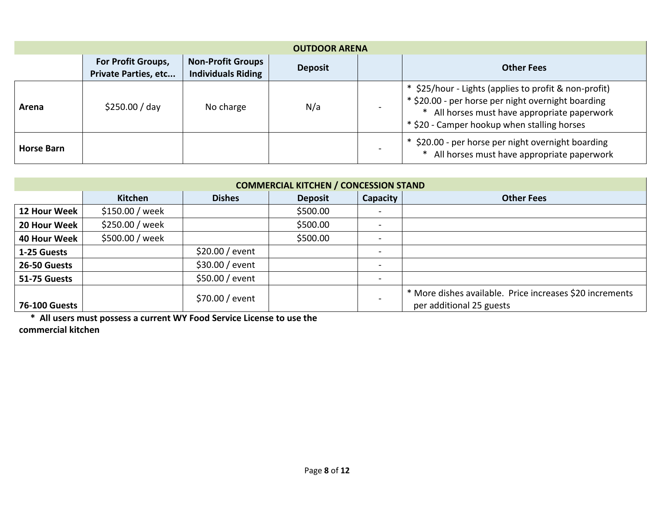| <b>OUTDOOR ARENA</b> |                                                          |                   |     |                                                                                                                                                                                                        |  |  |  |  |
|----------------------|----------------------------------------------------------|-------------------|-----|--------------------------------------------------------------------------------------------------------------------------------------------------------------------------------------------------------|--|--|--|--|
|                      | <b>For Profit Groups,</b><br><b>Private Parties, etc</b> | <b>Other Fees</b> |     |                                                                                                                                                                                                        |  |  |  |  |
| Arena                | \$250.00 / day                                           | No charge         | N/a | \$25/hour - Lights (applies to profit & non-profit)<br>* \$20.00 - per horse per night overnight boarding<br>All horses must have appropriate paperwork<br>* \$20 - Camper hookup when stalling horses |  |  |  |  |
| <b>Horse Barn</b>    |                                                          |                   |     | \$20.00 - per horse per night overnight boarding<br>All horses must have appropriate paperwork                                                                                                         |  |  |  |  |

| <b>COMMERCIAL KITCHEN / CONCESSION STAND</b> |                                                                                    |                 |          |                              |                                                                                      |  |  |  |  |  |
|----------------------------------------------|------------------------------------------------------------------------------------|-----------------|----------|------------------------------|--------------------------------------------------------------------------------------|--|--|--|--|--|
|                                              | Capacity<br><b>Dishes</b><br><b>Kitchen</b><br><b>Deposit</b><br><b>Other Fees</b> |                 |          |                              |                                                                                      |  |  |  |  |  |
| 12 Hour Week                                 | \$150.00 / week                                                                    |                 | \$500.00 |                              |                                                                                      |  |  |  |  |  |
| 20 Hour Week                                 | \$250.00 / week                                                                    |                 | \$500.00 | $\overline{\phantom{a}}$     |                                                                                      |  |  |  |  |  |
| 40 Hour Week                                 | \$500.00 / week                                                                    |                 | \$500.00 | $\qquad \qquad \blacksquare$ |                                                                                      |  |  |  |  |  |
| 1-25 Guests                                  |                                                                                    | \$20.00 / event |          | $\overline{\phantom{0}}$     |                                                                                      |  |  |  |  |  |
| 26-50 Guests                                 |                                                                                    | \$30.00 / event |          |                              |                                                                                      |  |  |  |  |  |
| 51-75 Guests                                 |                                                                                    | \$50.00 / event |          | $\overline{\phantom{0}}$     |                                                                                      |  |  |  |  |  |
| <b>76-100 Guests</b>                         |                                                                                    | \$70.00 / event |          | $\overline{\phantom{0}}$     | * More dishes available. Price increases \$20 increments<br>per additional 25 guests |  |  |  |  |  |

 **\* All users must possess a current WY Food Service License to use the** 

**commercial kitchen**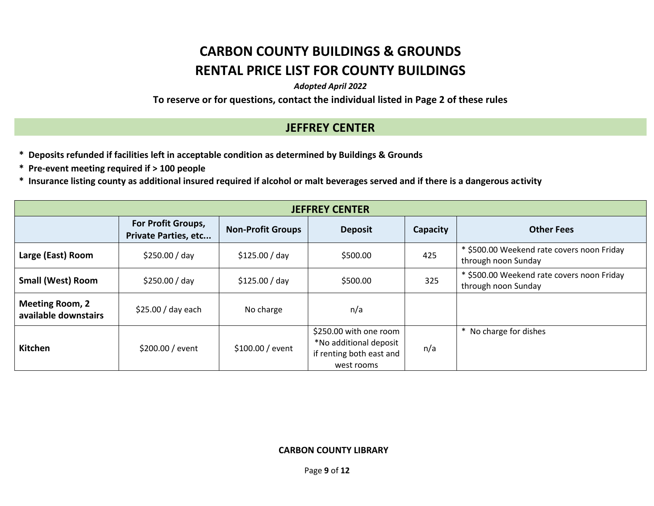## **CARBON COUNTY BUILDINGS & GROUNDS RENTAL PRICE LIST FOR COUNTY BUILDINGS**

*Adopted April 2022*

**To reserve or for questions, contact the individual listed in Page 2 of these rules**

## **JEFFREY CENTER**

- **\* Deposits refunded if facilities left in acceptable condition as determined by Buildings & Grounds**
- **\* Pre-event meeting required if > 100 people**
- **\* Insurance listing county as additional insured required if alcohol or malt beverages served and if there is a dangerous activity**

| <b>JEFFREY CENTER</b>                          |                                                                                                                                  |                  |                                                                                            |     |                                                                   |  |  |  |  |
|------------------------------------------------|----------------------------------------------------------------------------------------------------------------------------------|------------------|--------------------------------------------------------------------------------------------|-----|-------------------------------------------------------------------|--|--|--|--|
|                                                | For Profit Groups,<br><b>Other Fees</b><br><b>Non-Profit Groups</b><br><b>Deposit</b><br>Capacity<br><b>Private Parties, etc</b> |                  |                                                                                            |     |                                                                   |  |  |  |  |
| Large (East) Room                              | \$250.00 / day                                                                                                                   | \$125.00 / day   | \$500.00                                                                                   | 425 | * \$500.00 Weekend rate covers noon Friday<br>through noon Sunday |  |  |  |  |
| <b>Small (West) Room</b>                       | \$250.00 / day                                                                                                                   | \$125.00 / day   | \$500.00                                                                                   | 325 | * \$500.00 Weekend rate covers noon Friday<br>through noon Sunday |  |  |  |  |
| <b>Meeting Room, 2</b><br>available downstairs | \$25.00 / day each                                                                                                               | No charge        | n/a                                                                                        |     |                                                                   |  |  |  |  |
| <b>Kitchen</b>                                 | \$200.00 / event                                                                                                                 | \$100.00 / event | \$250.00 with one room<br>*No additional deposit<br>if renting both east and<br>west rooms | n/a | * No charge for dishes                                            |  |  |  |  |

#### **CARBON COUNTY LIBRARY**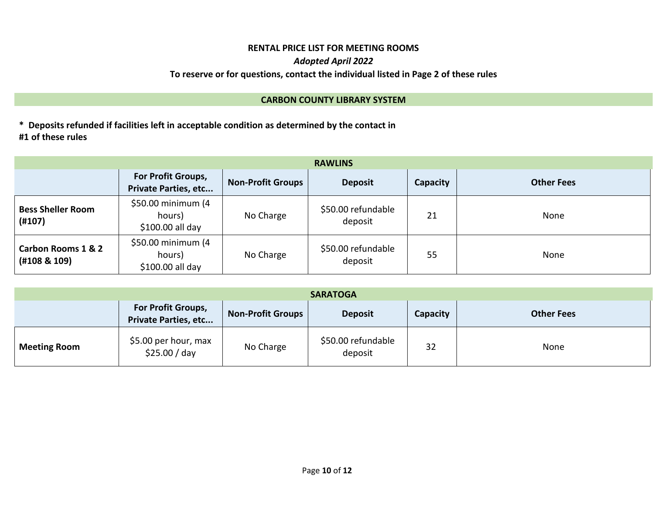## **RENTAL PRICE LIST FOR MEETING ROOMS**

#### *Adopted April 2022*

#### **To reserve or for questions, contact the individual listed in Page 2 of these rules**

#### **CARBON COUNTY LIBRARY SYSTEM**

**\* Deposits refunded if facilities left in acceptable condition as determined by the contact in #1 of these rules**

| <b>RAWLINS</b>                     |                                                   |                          |                               |                 |                   |  |  |  |
|------------------------------------|---------------------------------------------------|--------------------------|-------------------------------|-----------------|-------------------|--|--|--|
|                                    | For Profit Groups,<br><b>Private Parties, etc</b> | <b>Non-Profit Groups</b> | <b>Deposit</b>                | <b>Capacity</b> | <b>Other Fees</b> |  |  |  |
| <b>Bess Sheller Room</b><br>(H107) | \$50.00 minimum (4<br>hours)<br>\$100.00 all day  | No Charge                | \$50.00 refundable<br>deposit | 21              | None              |  |  |  |
| Carbon Rooms 1 & 2<br>(H108 & 109) | \$50.00 minimum (4<br>hours)<br>\$100.00 all day  | No Charge                | \$50.00 refundable<br>deposit | 55              | None              |  |  |  |

| <b>SARATOGA</b>                                                                                                                         |                                       |           |                               |    |      |  |  |  |
|-----------------------------------------------------------------------------------------------------------------------------------------|---------------------------------------|-----------|-------------------------------|----|------|--|--|--|
| <b>For Profit Groups,</b><br><b>Non-Profit Groups</b><br><b>Deposit</b><br><b>Other Fees</b><br>Capacity<br><b>Private Parties, etc</b> |                                       |           |                               |    |      |  |  |  |
| <b>Meeting Room</b>                                                                                                                     | \$5.00 per hour, max<br>\$25.00 / day | No Charge | \$50.00 refundable<br>deposit | 32 | None |  |  |  |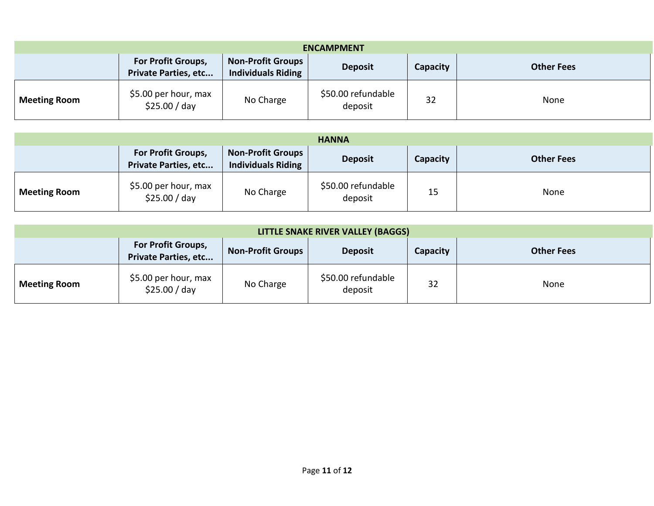| <b>ENCAMPMENT</b>                                                                                                                                                    |                                       |           |                               |    |      |  |  |  |
|----------------------------------------------------------------------------------------------------------------------------------------------------------------------|---------------------------------------|-----------|-------------------------------|----|------|--|--|--|
| <b>Non-Profit Groups</b><br><b>For Profit Groups,</b><br>Capacity<br><b>Other Fees</b><br><b>Deposit</b><br><b>Private Parties, etc</b><br><b>Individuals Riding</b> |                                       |           |                               |    |      |  |  |  |
| <b>Meeting Room</b>                                                                                                                                                  | \$5.00 per hour, max<br>\$25.00 / day | No Charge | \$50.00 refundable<br>deposit | 32 | None |  |  |  |

| <b>HANNA</b>        |                                                   |                                                       |                               |          |                   |
|---------------------|---------------------------------------------------|-------------------------------------------------------|-------------------------------|----------|-------------------|
|                     | For Profit Groups,<br><b>Private Parties, etc</b> | <b>Non-Profit Groups</b><br><b>Individuals Riding</b> | <b>Deposit</b>                | Capacity | <b>Other Fees</b> |
| <b>Meeting Room</b> | \$5.00 per hour, max<br>\$25.00 / day             | No Charge                                             | \$50.00 refundable<br>deposit | 15       | None              |

| LITTLE SNAKE RIVER VALLEY (BAGGS) |                                                          |                          |                               |          |                   |
|-----------------------------------|----------------------------------------------------------|--------------------------|-------------------------------|----------|-------------------|
|                                   | <b>For Profit Groups,</b><br><b>Private Parties, etc</b> | <b>Non-Profit Groups</b> | <b>Deposit</b>                | Capacity | <b>Other Fees</b> |
| <b>Meeting Room</b>               | \$5.00 per hour, max<br>\$25.00 / day                    | No Charge                | \$50.00 refundable<br>deposit | 32       | None              |